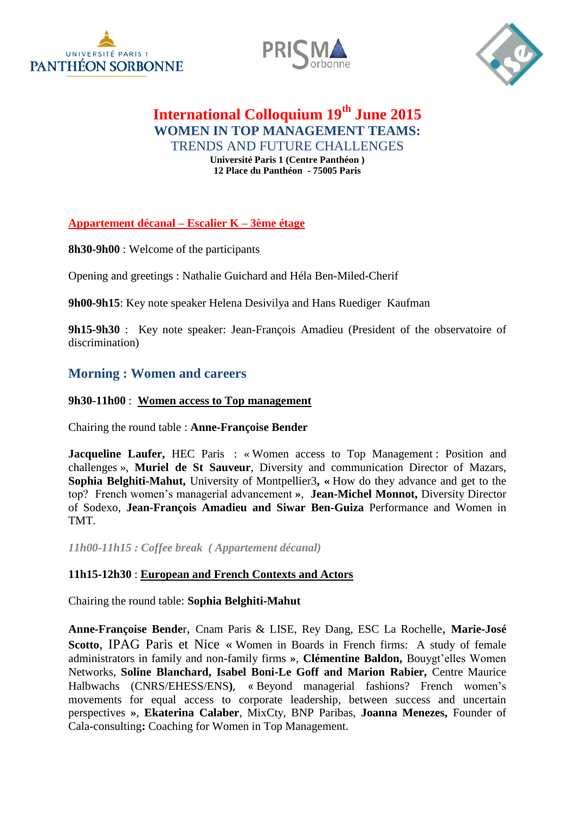





# **International Colloquium 19th June 2015 WOMEN IN TOP MANAGEMENT TEAMS:** TRENDS AND FUTURE CHALLENGES

**Université Paris 1 (Centre Panthéon ) 12 Place du Panthéon - 75005 Paris**

**Appartement décanal – Escalier K – 3ème étage**

**8h30-9h00** : Welcome of the participants

Opening and greetings : Nathalie Guichard and Héla Ben-Miled-Cherif

**9h00-9h15**: Key note speaker Helena Desivilya and Hans Ruediger Kaufman

**9h15-9h30** : Key note speaker: Jean-François Amadieu (President of the observatoire of discrimination)

## **Morning : Women and careers**

#### **9h30-11h00** : **Women access to Top management**

Chairing the round table : **Anne-Françoise Bender**

**Jacqueline Laufer, HEC Paris : « Women access to Top Management : Position and** challenges », **Muriel de St Sauveur**, Diversity and communication Director of Mazars, **Sophia Belghiti-Mahut,** University of Montpellier3**, «** How do they advance and get to the top? French women's managerial advancement **»**, **Jean-Michel Monnot,** Diversity Director of Sodexo, **Jean-François Amadieu and Siwar Ben-Guiza** Performance and Women in TMT.

*11h00-11h15 : Coffee break ( Appartement décanal)*

### **11h15-12h30** : **European and French Contexts and Actors**

Chairing the round table: **Sophia Belghiti-Mahut**

**Anne-Françoise Bende**r, Cnam Paris & LISE, Rey Dang, ESC La Rochelle, **Marie-José Scotto**, IPAG Paris et Nice « Women in Boards in French firms: A study of female administrators in family and non-family firms **»**, **Clémentine Baldon,** Bouygt'elles Women Networks, **Soline Blanchard, Isabel Boni-Le Goff and Marion Rabier,** Centre Maurice Halbwachs (CNRS/EHESS/ENS**)**, « Beyond managerial fashions? French women's movements for equal access to corporate leadership, between success and uncertain perspectives **»**, **Ekaterina Calaber**, MixCty, BNP Paribas, **Joanna Menezes,** Founder of Cala-consulting**:** Coaching for Women in Top Management.